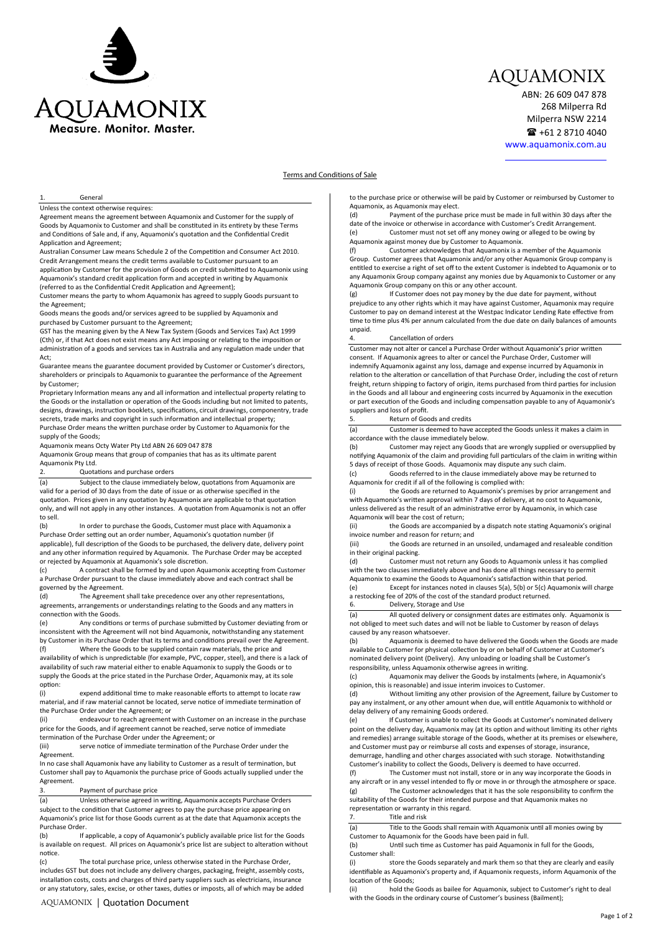

# AQUAMONIX

ABN: 26 609 047 878 268 Milperra Rd Milperra NSW 2214  $\mathbf{R}$  +61 2 8710 4040

www.aquamonix.com.au

# **Terms and Conditions of Sale Terms and Conditions of Sale**

## **General** 1. Contrar<br>Unless the context otherwise requires:

Agreement means the agreement between Aquamonix and Customer for the supply of Unless the context otherwise requires: Goods by Aquamonix to Customer and shall be cons�tuted in its en�rety by these Terms Agreement means the agreement between Aquamonix and Customer for the supply of and Conditions of Sale and, if any, Aquamonix's quotation and the Confidential Credit<br>Analisation of Sale and, if any, Aquamonix's quotation and the Confidential Credit Application and Agreement;

Application and Agreement;<br>Australian Consumer Law means Schedule 2 of the Competition and Consumer Act 2010. Credit Arrangement means the credit terms available to Customer pursuant to an application by Customer for the provision of Goods on credit submitted to Aquamonix using<br>A was used to the deal and it seek of the form and secondari is writing by American is Aquamonix's standard credit application form and accepted in writing by Aquamonix<br>Actional these the Grafishation for all Application and Aguacamoni (referred to as the Confidential Credit Application and Agreement);

The contract of the barry to whom Aquamonix has agreed to supply Goods pursuant to the Agreement;

Goods means the goods and/or services agreed to be supplied by Aquamonix and the Agreement; purchased by Customer pursuant to the Agreement; Goods means the goods and/or services agreed to be supplied by Aquamonix and

GST has the meaning given by the A New Tax System (Goods and Services Tax) Act 1999 purchased by Customer pursuant to the Agreement; GST has the meaning given by the A New Tax System (Goods and Services Tax) Act 1999<br>(Cth) or, if that Act does not exist means any Act imposing or relating to the imposition or ectrig of, it that Act does not exist means any Act imposing or relating to the imposition of<br>administration of a goods and services tax in Australia and any regulation made under that Act;

Guarantee means the guarantee document provided by Customer or Customer's directors, Guarantee means the guarantee document provided by Customer or Customer's directors, shareholders or principals to Aquamonix to guarantee the performance of the Agreement shareholders or principals to Aquamonix to guarantee the performance of the Agreement by Customer;

by Castomer,<br>Proprietary Information means any and all information and intellectual property relating to Troprietary information means any and all information and intellectual property relating to the Goods or the installation or operation of the Goods including but not limited to patents, the Goods or the installation or operation or the Goods including but not limited to patents,<br>designs, drawings, instruction booklets, specifications, circuit drawings, componentry, trade designs, drawings, instruction booklets, specifications, circuit drawings, componentry, trade marks and copyright in such information and intellectual property; Purchase Order means and copyright in such information and intellectual property,<br>Purchase Order means the written purchase order by Customer to Aquamonix for the supply of the Goods;

supply of the Goods;<br>Aquamonix means Octy Water Pty Ltd ABN 26 609 047 878

Aquamonix means Octy Water Pty Ltd ABN 26 609 047 878<br>Aquamonix Group means that group of companies that has as its ultimate parent Aquamonix Pty Ltd.

#### 2. Quotations and purchase orders

2. Cuotations and purchase orders<br>(a) Subject to the clause immediately below, quotations from Aquamonix are (a) Subject to the clause immediately below, quotations from Aquamonix valid for a period of 30 days from the date of issue or as otherwise specified in the quotation. Prices given in any quotation by Aquamonix are applicable to that quotation. only, and will not apply in any other instances. A quotation from Aquamonix is not an offer<br>has all to sell.

In order to purchase the Goods, Customer must place with Aquamonix a (b) In order to purchase the Goods, Customer must place with Aquamon<br>Purchase Order setting out an order number, Aquamonix's quotation number (if applicable), full descrip�on of the Goods to be purchased, the delivery date, delivery point Purchase Order setting out an order number, Aquamonix's quotation number (if applicable), full description of the Goods to be purchased, the delivery plate, delivery point<br>and any other information required by Aquamonix. The Purchase Order may be accepted or rejected by Aquamonix at Aquamonix's sole discre�on. or rejected by Aquamonix at Aquamonix's sole discretion.  $(b)$ 

(c) A contract shall be formed by and upon Aquamonix accepting from Customer a Purchase Order pursuant to the clause immediately above and each contract shall be governed by the Agreement. governed by the Agreement.

(d) The Agreement shall take precedence over any other representations, agreements, arrangements or understandings relating to the Goods and any matters in connec�on with the Goods. connection with the Goods.

(e) Any conditions or terms of purchase submitted by Customer deviating from or (e) Any conditions or terms or purchase submitted by Customer deviating from oriental angle of the Agreement will not bind Aquamonix, notwithstanding any statement by Customer in its Purchase Order that its terms and condi�ons prevail over the Agreement. inconsistent with the Agreement will not bind Aquamonix, notwithstanding any statement by Customer in its Purchase Order that its terms and conditions prevail over the Agreement.<br>(f) Where the Goods to be supplied contain raw materials, the price and availability of which is unpredictable (for example, PVC, copper, steel), and there is a lack of

availability of such raw material either to enable Aquamonix to supply the Goods or to symbolic or such a windiction entire to enable Aquantonix to supply the Goods of to<br>supply the Goods at the price stated in the Purchase Order, Aquamonix may, at its sole option:

expend additional time to make reasonable efforts to attempt to locate raw riversity of the special control of the contract easy that every process to attempt to locate law<br>material, and if raw material cannot be located, serve notice of immediate termination of the Purchase Order under the Agreement; or the Purchase Order under the Agreement; or  $(i)$ 

(ii) endeavour to reach agreement with Customer on an increase in the purchase price for the Goods, and if agreement cannot be reached, serve notice of immediate<br>termination of the Purchase Order under the Agreement; or the Goods, and if agreement cannot be reached, serve notice of immediate termination of the Purchase Order under the Agreement; or

(iii) serve notice of immediate termination of the Purchase Order under the Agreement. Agreement.

In no case shall Aquamonix have any liability to Customer as a result of termination, but The case shall pay to Aquamonix the purchase price of Goods actually supplied under the Agreement. Agreement.

## 3. Payment of purchase price 3. Payment of purchase price

(a) Unless otherwise agreed in wri�ng, Aquamonix accepts Purchase Orders subject to the condi�on that Customer agrees to pay the purchase price appearing on (a) Unless otherwise agreed in writing, Aquamonix accepts Purchase Orders Aquamonix's price list for those Goods current as at the date that Aquamonix accepts the Purchase Order. Purchase Order.

(b) If applicable, a copy of Aquamonix's publicly available price list for the Goods (b) If applicable, a copy of Aquamonix's publicly available price list for the Goods is available on request. All prices on Aquamonix's price list are subject to alteration without notice.

The total purchase price, unless otherwise stated in the Purchase Order, includes GST but does not include any delivery charges, packaging, freight, assembly costs, (c) The total purchase price, unless otherwise stated in the Purchase Order, installation costs, costs and charges of third party suppliers such as electricians, insurance or any statutory, sales, excise, or other taxes, duties or imposts, all of which may be added  $(c)$ includes GST but does not include any delivery charges, packaging, freight, assembly costs,

to the purchase price or otherwise will be paid by Customer or reimbursed by Customer to Aquamonix, as Aquamonix may elect.

Aquamonix, as Aquamonix may elect.<br>(d) Payment of the purchase price must be made in full within 30 days after the (d) Payment of the purchase price must be made in full within 30 days after<br>date of the invoice or otherwise in accordance with Customer's Credit Arrangement. date of the invoice or otherwise in accordance with Customer's Credit Arrangement.<br>(e) Customer must not set off any money owing or alleged to be owing by Aquamonix against money due by Customer to Aquamonix. (e) Customer must not set off any money owing or alleged to be owing by Aquamonix against money due by Customer to Aquamonix.

(f) Customer acknowledges that Aquamonix is a member of the Aquamonix Group. Customer agrees that Aquamonix and/or any other Aquamonix Group company is (f) Customer acknowledges that Aquamonix is a member of the Aquamonix en�tled to exercise a right of set off to the extent Customer is indebted to Aquamonix or to Group. Customer agrees that Aquamonix and/or any other Aquamonix Group company is entitied to exercise a right of set on to the extent customer is indebted to Aquamonix of the any Aquamonix Group company against any monies due by Aquamonix to Customer or any Aquamonix Group company on this or any other account. Aquamonix Group company on this or any other account.

(g) If Customer does not pay money by the due date for payment, without If Customer does not pay money by the due date for payment, without<br>prejudice to any other rights which it may have against Customer, Aquamonix may require prejudice to any other rights which it may have against customer, Aquamonix may require<br>Customer to pay on demand interest at the Westpac Indicator Lending Rate effective from time to time plus 4% per annum calculated from the due date on daily balances of amounts unpaid. unpaid.

### Cancellation of orders

-.<br>Customer may not alter or cancel a Purchase Order without Aquamonix's prior written consent. If Aquamonix agrees to alter or cancel the Purchase Order, Customer will Customer may not alter or cancel a Purchase Order without Aquamonix's prior written indemnify Aquamonix against any loss, damage and expense incurred by Aquamonix in consent. If Aquamonix agrees to alter or cancel the Purchase Order, Customer will relation to the alteration or cancellation of that Purchase Order, including the cost of return freight, return shipping to factory of origin, items purchased from third parties for inclusion freight, return shipping to factory of origin, items purchased from third parties for inclusion<br>in the Goods and all labour and engineering costs incurred by Aquamonix in the execution or part execution of the Goods and including compensation payable to any of Aquamonix's<br>or part execution of the Goods and including compensation payable to any of Aquamonix's suppliers and loss of profit.<br>5 Return of Good

# suppliers and loss of profit.<br>5. Return of Goods and credits

(a) Customer is deemed to have accepted the Goods unless it makes a claim in (a) Customer is deemed to have accepted the Goods unless it makes a claim in accordance with the clause immediately below.<br>(b) Customer may reject any Goods t

(b) Customer may reject any Goods that are wrongly supplied or oversupplied by accordance with the clause immediately below. to customer may reject any doors that are wrongly supplied or oversupplied by<br>notifying Aquamonix of the claim and providing full particulars of the claim in writing within 5 days of receipt of those Goods. Aquamonix may dispute any such claim. 5 days of receipt of those Goods. Aquamonix may dispute any such claim.

(c) Goods referred to in the clause immediately above may be returned to Aquamonix for credit if all of the following is complied with: (c) Goods referred to in the clause immediately above may be returned to Aquamonix for credit if all of the following is complied with:

(i) the Goods are returned to Aquamonix's premises by prior arrangement and with Aquamonix's written approval within 7 days of delivery, at no cost to Aquamonix<br>with a discussion of the state of the state of the state of the state of the state of the state of the state of unless delivered as the result of an administrative error by Aquamonix, in which case<br>A was to sult be as the result of antara Aquamonix will bear the cost of return;<br>(ii) the Goods are accompani

Aquamonix will bear the cost of return;<br>
(ii) the Goods are accompanied by a dispatch note stating Aquamonix's original invoice number and reason for return; and invoice number and reason for return; and

(iii) the Goods are returned in an unsoiled, undamaged and resaleable condition<br>in the Goods are returned in an unsoiled, undamaged and resaleable condition in their original packing. in their original packing.

(d) Customer must not return any Goods to Aquamonix unless it has complied with the two clauses immediately above and has done all things necessary to permit (d) Customer must not return any Goods to Aquamonix unless it has complied with the two clauses immediately above and has done all things necessary to permit the two clauses immediately above and has done all things necessary to permit

Aquamonix to examine the Goods to Aquamonix's satisfaction within that period.<br>(e) Except for instances noted in clauses 5(a), 5(b) or 5(c) Aquamonix will charge ref the matches noted in clauses 5(a), 5(b) or 5(c) A<br>a restocking fee of 20% of the cost of the standard product returned. 6. Delivery, Storage and Use

(a) All quoted delivery or consignment dates are estimates only. Aquamonix is not obliged to meet such dates and will not be liable to Customer by reason of delays next caused by any reason whatsoever. caused by any reason whatsoever.

caused by any reason whatsbeen.<br>(b) Aquamonix is deemed to have delivered the Goods when the Goods are made nominated do more delivered the design when the decay are in available to Customer for physical collection by or on behalf of Customer at Customer's responsibility of the projection of the Customer's consistent of the Customer's consistent and customer's agreement of the Customer's agreement of the Customer's agreement of the Customer's agreement of the Customer's agre responsibility, unless Aquamonix otherwise agrees in writing.  $\alpha$  around the Goods by our point  $\alpha$  and  $\alpha$  and  $\alpha$  and  $\alpha$  and  $\alpha$  is  $\alpha$  installed by installed  $\alpha$ 

commonix one was a greed in which is responsion, the condition of the Goods by instalments (where, in Aquamonix's  $\frac{1}{2}$  opinion, this is reasonable) and issue interim invoices to Customer.

parties, the structure and statement invested to easterner.<br>
(d) Without limiting any other provision of the Agreement, failure by Customer to pay any instalment, or any other amount when due, will entitle Aquamonix to withhold or<br>pay any instalment, or any other amount when due, will entitle Aquamonix to withhold or delay delivery of any remaining Goods ordered.

ency deniery or any remanning doods ordered.<br>(e) If Customer is unable to collect the Goods at Customer's nominated delivery point on the delivery day, Aquamonix may (at its option and without limiting its other rights<br>and remedies) arrange suitable storage of the Goods, whether at its premises or elsewhere, and remeately arrange saturate storage or the Goods, whether at its premises or ex-<br>and Customer must pay or reimburse all costs and expenses of storage, insurance, and customer must pay or remibilise an costs and expenses or storage, insurance,<br>demurrage, handling and other charges associated with such storage. Notwithstanding  $\alpha$  remedies) arrange suitable suitable storage of the Goods arrangement of the Goods or electron at its premises or electron  $\alpha$ point on the denvery day, riquamonix may fat its option and without imming in

demarrage, nanuing and other enarges associated with such storage. Notwithstandine.<br>Customer's inability to collect the Goods, Delivery is deemed to have occurred. extended to have occurred.<br>
(f) The Customer must not install, store or in any way incorporate the Goods in

any aircraft or in any vessel intended to fly or move in or through the atmosphere or space. (g) The Customer acknowledges that it has the sole responsibility to confirm the suitability of the Goods for their intended purpose and that Aquamonix makes no<br>resultation of the Goods for their intended purpose and that Aquamonix makes no representation or warranty in this regard.

Title and risk

(a) Title to the Goods shall remain with Aquamonix until all monies owing by (a) The collection of the Goods have been paid in full.<br>Customer to Aquamonix for the Goods have been paid in full. Customer s

(b) Until such time as Customer has paid Aquamonix in full for the Goods,<br>Curtamerately Customer shall:

الله العدد العدة<br>(i) store the Goods separately and mark them so that they are clearly and easily If it is a state the Goods separately and mark them so that they are clearly and easily<br>identifiable as Aquamonix's property and, if Aquamonix requests, inform Aquamonix of the location of the Goods;

ith the Goods,<br>ii) hold the Goods as bailee for Aquamonix, subject to Customer's right to deal with the Goods in the ordinary course of Customer's business (Bailment);